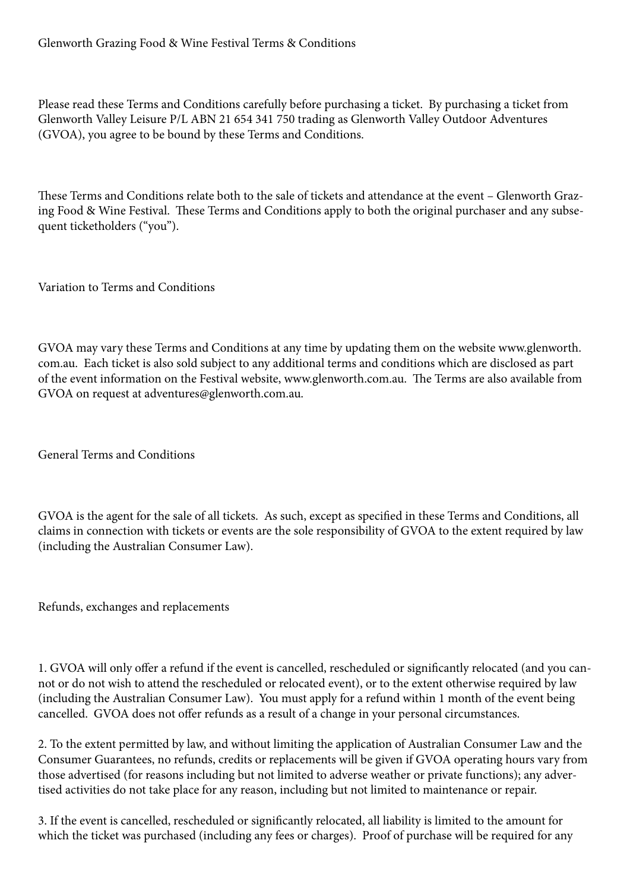Please read these Terms and Conditions carefully before purchasing a ticket. By purchasing a ticket from Glenworth Valley Leisure P/L ABN 21 654 341 750 trading as Glenworth Valley Outdoor Adventures (GVOA), you agree to be bound by these Terms and Conditions.

These Terms and Conditions relate both to the sale of tickets and attendance at the event – Glenworth Grazing Food & Wine Festival. These Terms and Conditions apply to both the original purchaser and any subsequent ticketholders ("you").

Variation to Terms and Conditions

GVOA may vary these Terms and Conditions at any time by updating them on the website www.glenworth. com.au. Each ticket is also sold subject to any additional terms and conditions which are disclosed as part of the event information on the Festival website, www.glenworth.com.au. The Terms are also available from GVOA on request at adventures@glenworth.com.au.

General Terms and Conditions

GVOA is the agent for the sale of all tickets. As such, except as specified in these Terms and Conditions, all claims in connection with tickets or events are the sole responsibility of GVOA to the extent required by law (including the Australian Consumer Law).

Refunds, exchanges and replacements

1. GVOA will only offer a refund if the event is cancelled, rescheduled or significantly relocated (and you cannot or do not wish to attend the rescheduled or relocated event), or to the extent otherwise required by law (including the Australian Consumer Law). You must apply for a refund within 1 month of the event being cancelled. GVOA does not offer refunds as a result of a change in your personal circumstances.

2. To the extent permitted by law, and without limiting the application of Australian Consumer Law and the Consumer Guarantees, no refunds, credits or replacements will be given if GVOA operating hours vary from those advertised (for reasons including but not limited to adverse weather or private functions); any advertised activities do not take place for any reason, including but not limited to maintenance or repair.

3. If the event is cancelled, rescheduled or significantly relocated, all liability is limited to the amount for which the ticket was purchased (including any fees or charges). Proof of purchase will be required for any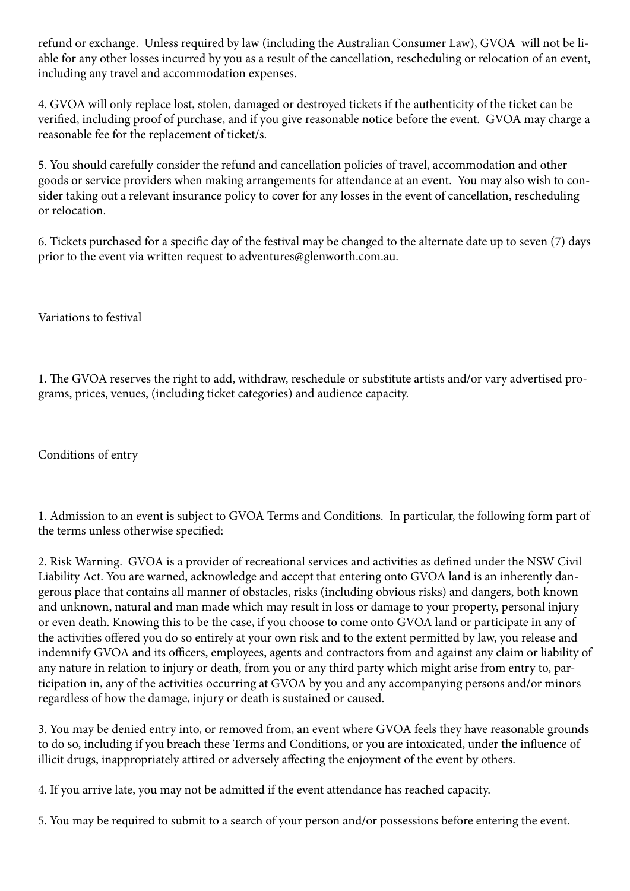refund or exchange. Unless required by law (including the Australian Consumer Law), GVOA will not be liable for any other losses incurred by you as a result of the cancellation, rescheduling or relocation of an event, including any travel and accommodation expenses.

4. GVOA will only replace lost, stolen, damaged or destroyed tickets if the authenticity of the ticket can be verified, including proof of purchase, and if you give reasonable notice before the event. GVOA may charge a reasonable fee for the replacement of ticket/s.

5. You should carefully consider the refund and cancellation policies of travel, accommodation and other goods or service providers when making arrangements for attendance at an event. You may also wish to consider taking out a relevant insurance policy to cover for any losses in the event of cancellation, rescheduling or relocation.

6. Tickets purchased for a specific day of the festival may be changed to the alternate date up to seven (7) days prior to the event via written request to adventures@glenworth.com.au.

Variations to festival

1. The GVOA reserves the right to add, withdraw, reschedule or substitute artists and/or vary advertised programs, prices, venues, (including ticket categories) and audience capacity.

Conditions of entry

1. Admission to an event is subject to GVOA Terms and Conditions. In particular, the following form part of the terms unless otherwise specified:

2. Risk Warning. GVOA is a provider of recreational services and activities as defined under the NSW Civil Liability Act. You are warned, acknowledge and accept that entering onto GVOA land is an inherently dangerous place that contains all manner of obstacles, risks (including obvious risks) and dangers, both known and unknown, natural and man made which may result in loss or damage to your property, personal injury or even death. Knowing this to be the case, if you choose to come onto GVOA land or participate in any of the activities offered you do so entirely at your own risk and to the extent permitted by law, you release and indemnify GVOA and its officers, employees, agents and contractors from and against any claim or liability of any nature in relation to injury or death, from you or any third party which might arise from entry to, participation in, any of the activities occurring at GVOA by you and any accompanying persons and/or minors regardless of how the damage, injury or death is sustained or caused.

3. You may be denied entry into, or removed from, an event where GVOA feels they have reasonable grounds to do so, including if you breach these Terms and Conditions, or you are intoxicated, under the influence of illicit drugs, inappropriately attired or adversely affecting the enjoyment of the event by others.

4. If you arrive late, you may not be admitted if the event attendance has reached capacity.

5. You may be required to submit to a search of your person and/or possessions before entering the event.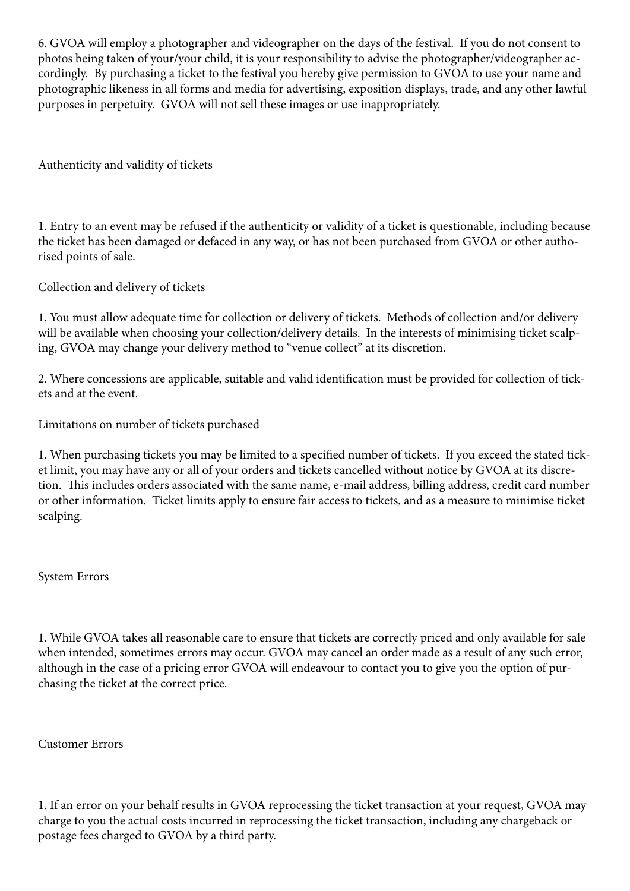6. GVOA will employ a photographer and videographer on the days of the festival. If you do not consent to photos being taken of your/your child, it is your responsibility to advise the photographer/videographer accordingly. By purchasing a ticket to the festival you hereby give permission to GVOA to use your name and photographic likeness in all forms and media for advertising, exposition displays, trade, and any other lawful purposes in perpetuity. GVOA will not sell these images or use inappropriately.

Authenticity and validity of tickets

1. Entry to an event may be refused if the authenticity or validity of a ticket is questionable, including because the ticket has been damaged or defaced in any way, or has not been purchased from GVOA or other authorised points of sale.

Collection and delivery of tickets

1. You must allow adequate time for collection or delivery of tickets. Methods of collection and/or delivery will be available when choosing your collection/delivery details. In the interests of minimising ticket scalping, GVOA may change your delivery method to "venue collect" at its discretion.

2. Where concessions are applicable, suitable and valid identification must be provided for collection of tickets and at the event.

Limitations on number of tickets purchased

1. When purchasing tickets you may be limited to a specified number of tickets. If you exceed the stated ticket limit, you may have any or all of your orders and tickets cancelled without notice by GVOA at its discretion. This includes orders associated with the same name, e-mail address, billing address, credit card number or other information. Ticket limits apply to ensure fair access to tickets, and as a measure to minimise ticket scalping.

System Errors

1. While GVOA takes all reasonable care to ensure that tickets are correctly priced and only available for sale when intended, sometimes errors may occur. GVOA may cancel an order made as a result of any such error, although in the case of a pricing error GVOA will endeavour to contact you to give you the option of purchasing the ticket at the correct price.

Customer Errors

1. If an error on your behalf results in GVOA reprocessing the ticket transaction at your request, GVOA may charge to you the actual costs incurred in reprocessing the ticket transaction, including any chargeback or postage fees charged to GVOA by a third party.